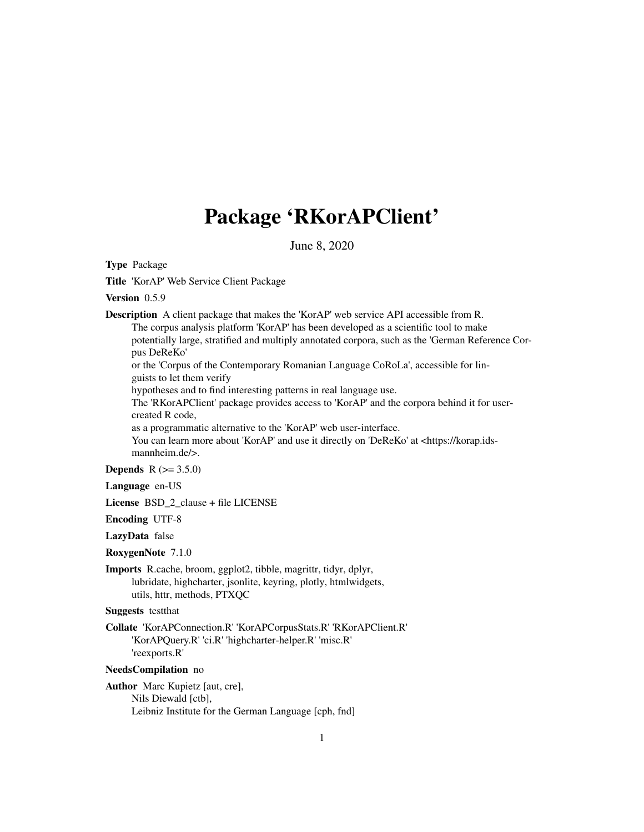# Package 'RKorAPClient'

June 8, 2020

<span id="page-0-0"></span>Type Package

Title 'KorAP' Web Service Client Package

Version 0.5.9

Description A client package that makes the 'KorAP' web service API accessible from R. The corpus analysis platform 'KorAP' has been developed as a scientific tool to make

potentially large, stratified and multiply annotated corpora, such as the 'German Reference Corpus DeReKo'

or the 'Corpus of the Contemporary Romanian Language CoRoLa', accessible for linguists to let them verify

hypotheses and to find interesting patterns in real language use.

The 'RKorAPClient' package provides access to 'KorAP' and the corpora behind it for usercreated R code,

as a programmatic alternative to the 'KorAP' web user-interface.

You can learn more about 'KorAP' and use it directly on 'DeReKo' at <https://korap.idsmannheim.de/>.

**Depends** R  $(>= 3.5.0)$ 

Language en-US

License BSD\_2\_clause + file LICENSE

Encoding UTF-8

LazyData false

RoxygenNote 7.1.0

Imports R.cache, broom, ggplot2, tibble, magrittr, tidyr, dplyr, lubridate, highcharter, jsonlite, keyring, plotly, htmlwidgets, utils, httr, methods, PTXQC

Suggests testthat

Collate 'KorAPConnection.R' 'KorAPCorpusStats.R' 'RKorAPClient.R' 'KorAPQuery.R' 'ci.R' 'highcharter-helper.R' 'misc.R' 'reexports.R'

NeedsCompilation no

Author Marc Kupietz [aut, cre], Nils Diewald [ctb], Leibniz Institute for the German Language [cph, fnd]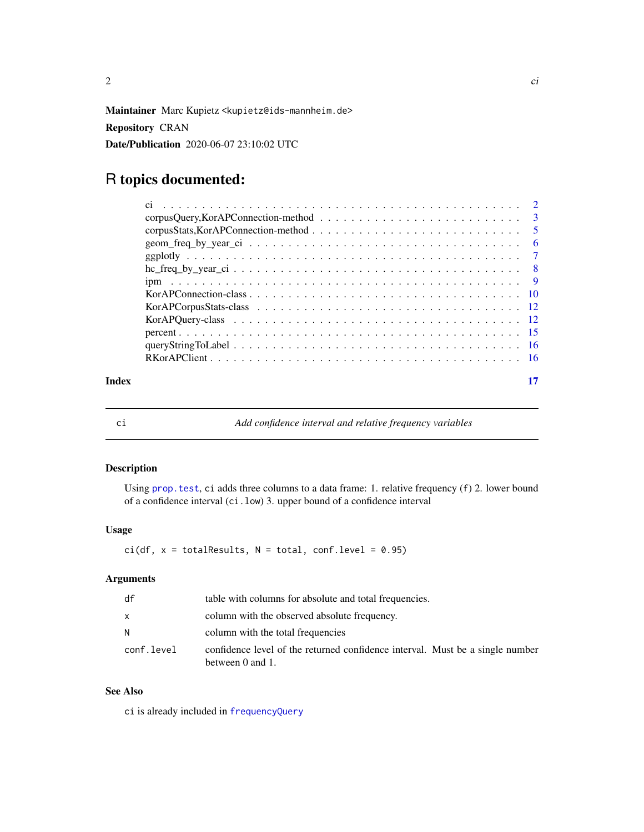<span id="page-1-0"></span>

Maintainer Marc Kupietz <kupietz@ids-mannheim.de>

Repository CRAN

Date/Publication 2020-06-07 23:10:02 UTC

# R topics documented:

| Index |  |
|-------|--|

<span id="page-1-1"></span>

ci *Add confidence interval and relative frequency variables*

# Description

Using [prop.test](#page-0-0), ci adds three columns to a data frame: 1. relative frequency (f) 2. lower bound of a confidence interval (ci.low) 3. upper bound of a confidence interval

#### Usage

 $ci(df, x = totalResults, N = total, conf. level = 0.95)$ 

# Arguments

| df         | table with columns for absolute and total frequencies.                                            |
|------------|---------------------------------------------------------------------------------------------------|
| X          | column with the observed absolute frequency.                                                      |
| N.         | column with the total frequencies                                                                 |
| conf.level | confidence level of the returned confidence interval. Must be a single number<br>between 0 and 1. |

# See Also

ci is already included in [frequencyQuery](#page-11-1)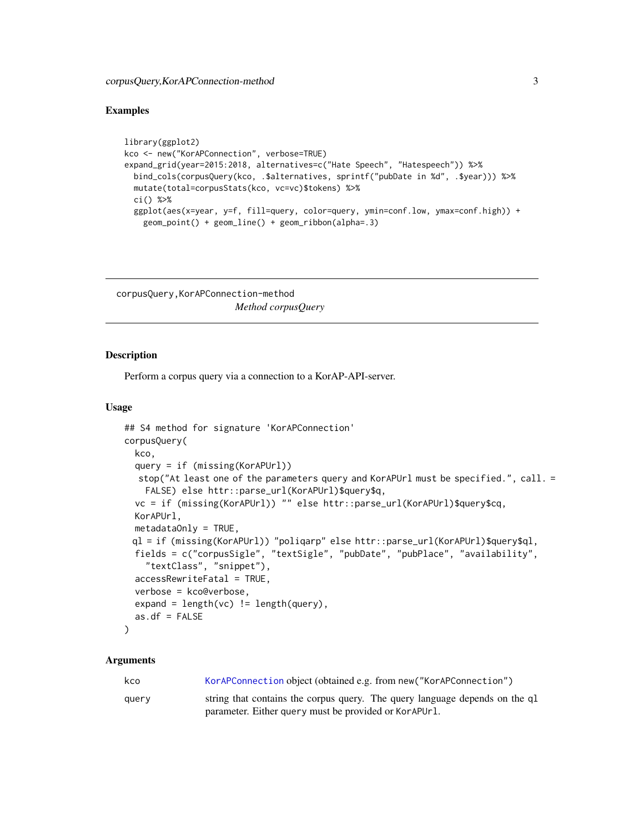#### <span id="page-2-0"></span>Examples

```
library(ggplot2)
kco <- new("KorAPConnection", verbose=TRUE)
expand_grid(year=2015:2018, alternatives=c("Hate Speech", "Hatespeech")) %>%
  bind_cols(corpusQuery(kco, .$alternatives, sprintf("pubDate in %d", .$year))) %>%
  mutate(total=corpusStats(kco, vc=vc)$tokens) %>%
  ci() %>%
  ggplot(aes(x=year, y=f, fill=query, color=query, ymin=conf.low, ymax=conf.high)) +
    geom_point() + geom_line() + geom_ribbon(alpha=.3)
```
corpusQuery,KorAPConnection-method *Method corpusQuery*

#### <span id="page-2-1"></span>Description

Perform a corpus query via a connection to a KorAP-API-server.

#### Usage

```
## S4 method for signature 'KorAPConnection'
corpusQuery(
  kco,
  query = if (missing(KorAPUrl))
  stop("At least one of the parameters query and KorAPUrl must be specified.", call. =
    FALSE) else httr::parse_url(KorAPUrl)$query$q,
  vc = if (missing(KorAPUrl)) "" else httr::parse_url(KorAPUrl)$query$cq,
  KorAPUrl,
  metadataOnly = TRUE,
 ql = if (missing(KorAPUrl)) "poliqarp" else httr::parse_url(KorAPUrl)$query$ql,
  fields = c("corpusSigle", "textSigle", "pubDate", "pubPlace", "availability",
    "textClass", "snippet"),
  accessRewriteFatal = TRUE,
  verbose = kco@verbose,
  expand = length(vc) != length(query),
  as.df = FALSE\mathcal{L}
```
#### Arguments

| kco   | KorAPConnection object (obtained e.g. from new ("KorAPConnection")          |
|-------|-----------------------------------------------------------------------------|
| query | string that contains the corpus query. The query language depends on the q1 |
|       | parameter. Either query must be provided or Kor APUr 1.                     |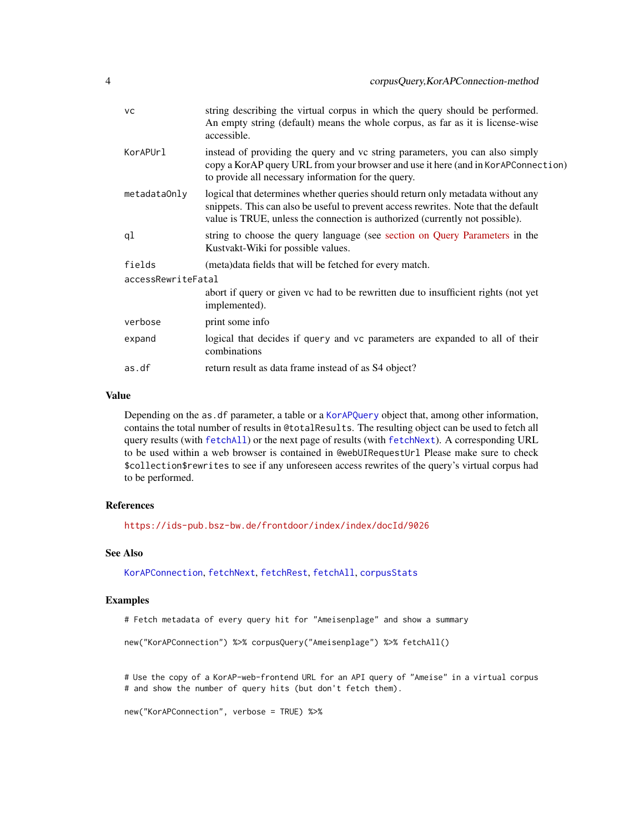<span id="page-3-0"></span>

| <b>VC</b>          | string describing the virtual corpus in which the query should be performed.<br>An empty string (default) means the whole corpus, as far as it is license-wise<br>accessible.                                                                          |
|--------------------|--------------------------------------------------------------------------------------------------------------------------------------------------------------------------------------------------------------------------------------------------------|
| KorAPUrl           | instead of providing the query and vc string parameters, you can also simply<br>copy a KorAP query URL from your browser and use it here (and in KorAPConnection)<br>to provide all necessary information for the query.                               |
| metadataOnly       | logical that determines whether queries should return only metadata without any<br>snippets. This can also be useful to prevent access rewrites. Note that the default<br>value is TRUE, unless the connection is authorized (currently not possible). |
| ql                 | string to choose the query language (see section on Query Parameters in the<br>Kustvakt-Wiki for possible values.                                                                                                                                      |
| fields             | (meta) data fields that will be fetched for every match.                                                                                                                                                                                               |
| accessRewriteFatal |                                                                                                                                                                                                                                                        |
|                    | abort if query or given vc had to be rewritten due to insufficient rights (not yet<br>implemented).                                                                                                                                                    |
| verbose            | print some info                                                                                                                                                                                                                                        |
| expand             | logical that decides if query and vc parameters are expanded to all of their<br>combinations                                                                                                                                                           |
| as.df              | return result as data frame instead of as S4 object?                                                                                                                                                                                                   |
|                    |                                                                                                                                                                                                                                                        |

#### Value

Depending on the as.df parameter, a table or a [KorAPQuery](#page-11-1) object that, among other information, contains the total number of results in @totalResults. The resulting object can be used to fetch all query results (with [fetchAll](#page-11-1)) or the next page of results (with [fetchNext](#page-11-1)). A corresponding URL to be used within a web browser is contained in @webUIRequestUrl Please make sure to check \$collection\$rewrites to see if any unforeseen access rewrites of the query's virtual corpus had to be performed.

#### References

<https://ids-pub.bsz-bw.de/frontdoor/index/index/docId/9026>

# See Also

[KorAPConnection](#page-9-1), [fetchNext](#page-11-1), [fetchRest](#page-11-1), [fetchAll](#page-11-1), [corpusStats](#page-4-1)

#### Examples

# Fetch metadata of every query hit for "Ameisenplage" and show a summary

new("KorAPConnection") %>% corpusQuery("Ameisenplage") %>% fetchAll()

# Use the copy of a KorAP-web-frontend URL for an API query of "Ameise" in a virtual corpus # and show the number of query hits (but don't fetch them).

```
new("KorAPConnection", verbose = TRUE) %>%
```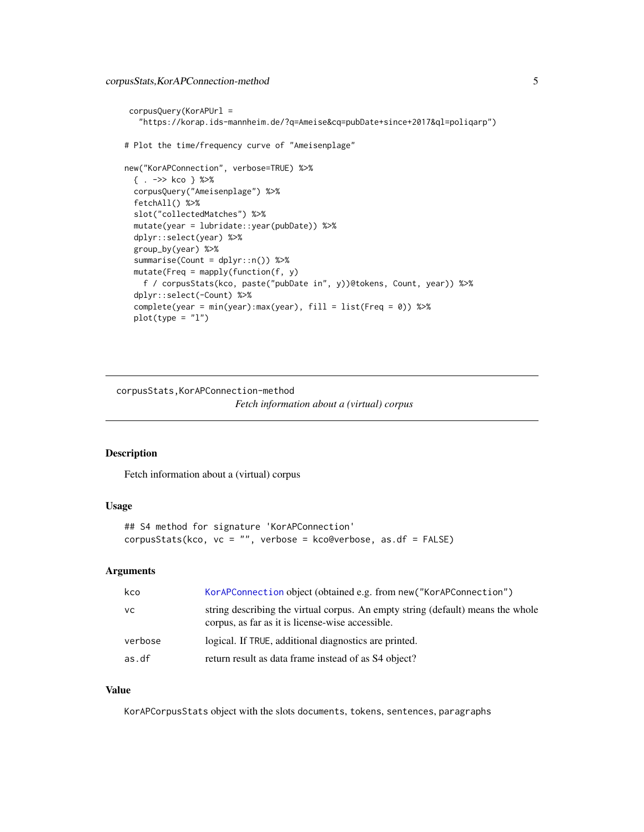```
corpusQuery(KorAPUrl =
   "https://korap.ids-mannheim.de/?q=Ameise&cq=pubDate+since+2017&ql=poliqarp")
# Plot the time/frequency curve of "Ameisenplage"
new("KorAPConnection", verbose=TRUE) %>%
 { . ->> kco } %>%
 corpusQuery("Ameisenplage") %>%
 fetchAll() %>%
 slot("collectedMatches") %>%
 mutate(year = lubridate::year(pubDate)) %>%
 dplyr::select(year) %>%
 group_by(year) %>%
 summarise(Count = dplyr::n()) %>%
 mutate(Freq = maply(function(f, y))f / corpusStats(kco, paste("pubDate in", y))@tokens, Count, year)) %>%
 dplyr::select(-Count) %>%
 complete(year = min(year):max(year), fill = list(Freq = 0)) %>%
 plot(type = "l")
```
corpusStats,KorAPConnection-method *Fetch information about a (virtual) corpus*

#### <span id="page-4-1"></span>Description

Fetch information about a (virtual) corpus

#### Usage

```
## S4 method for signature 'KorAPConnection'
corpusStats(kco, vc = "", verbose = kco@verbose, as.df = FALSE)
```
# Arguments

| kco     | KorAPConnection object (obtained e.g. from new ("KorAPConnection")                                                                  |
|---------|-------------------------------------------------------------------------------------------------------------------------------------|
| VC.     | string describing the virtual corpus. An empty string (default) means the whole<br>corpus, as far as it is license-wise accessible. |
| verbose | logical. If TRUE, additional diagnostics are printed.                                                                               |
| as.df   | return result as data frame instead of as S4 object?                                                                                |

#### Value

KorAPCorpusStats object with the slots documents, tokens, sentences, paragraphs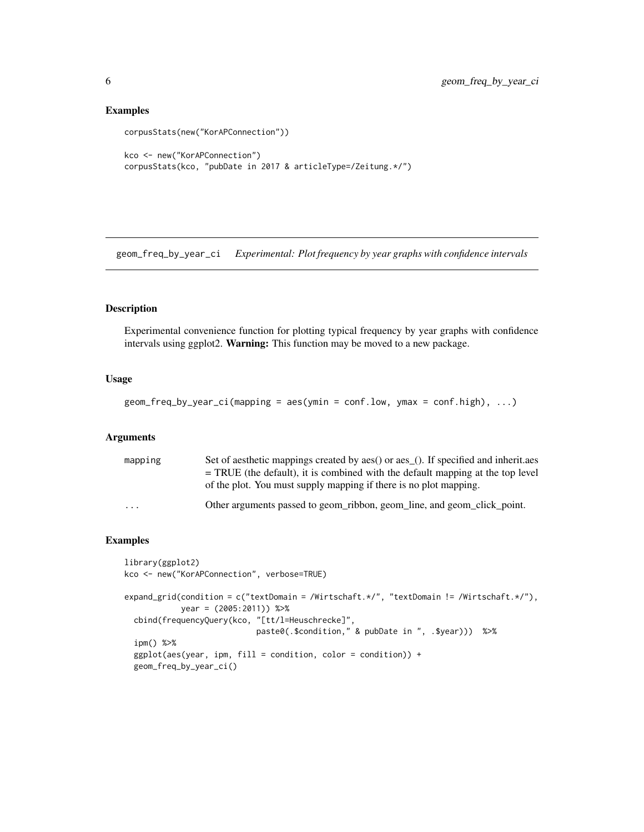#### Examples

```
corpusStats(new("KorAPConnection"))
kco <- new("KorAPConnection")
corpusStats(kco, "pubDate in 2017 & articleType=/Zeitung.*/")
```
geom\_freq\_by\_year\_ci *Experimental: Plot frequency by year graphs with confidence intervals*

#### Description

Experimental convenience function for plotting typical frequency by year graphs with confidence intervals using ggplot2. Warning: This function may be moved to a new package.

#### Usage

```
geom_freq_by_year_ci(mapping = aes(ymin = conf.low, ymax = conf.high), ...)
```
#### Arguments

| mapping | Set of aesthetic mappings created by aes() or aes <sub>(1)</sub> . If specified and inheritaes |
|---------|------------------------------------------------------------------------------------------------|
|         | $=$ TRUE (the default), it is combined with the default mapping at the top level               |
|         | of the plot. You must supply mapping if there is no plot mapping.                              |
| .       | Other arguments passed to geom_ribbon, geom_line, and geom_click_point.                        |

```
library(ggplot2)
kco <- new("KorAPConnection", verbose=TRUE)
expand_grid(condition = c("textDomain = /Wirtschaft.*/", "textDomain != /Wirtschaft.*/"),
           year = (2005:2011)) %>%
 cbind(frequencyQuery(kco, "[tt/l=Heuschrecke]",
                            paste0(.$condition," & pubDate in ", .$year))) %>%
 ipm() %>%
 ggplot(aes(year, ipm, fill = condition, color = condition)) +
 geom_freq_by_year_ci()
```
<span id="page-5-0"></span>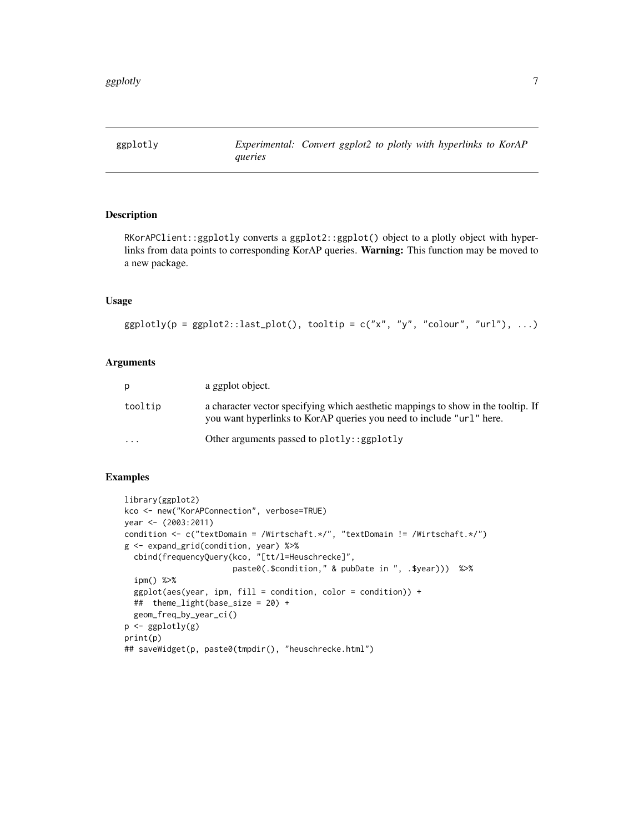<span id="page-6-0"></span>

### Description

RKorAPClient::ggplotly converts a ggplot2::ggplot() object to a plotly object with hyperlinks from data points to corresponding KorAP queries. Warning: This function may be moved to a new package.

#### Usage

```
ggplotly(p = ggplot2::last.plot(), toothip = c("x", "y", "colour", "url"), ...)
```
#### Arguments

| p        | a ggplot object.                                                                                                                                          |
|----------|-----------------------------------------------------------------------------------------------------------------------------------------------------------|
| tooltip  | a character vector specifying which aesthetic mappings to show in the tooltip. If<br>you want hyperlinks to KorAP queries you need to include "url" here. |
| $\cdots$ | Other arguments passed to $plotly$ : : ggplotly                                                                                                           |

```
library(ggplot2)
kco <- new("KorAPConnection", verbose=TRUE)
year <- (2003:2011)
condition <- c("textDomain = /Wirtschaft.*/", "textDomain != /Wirtschaft.*/")
g <- expand_grid(condition, year) %>%
  cbind(frequencyQuery(kco, "[tt/l=Heuschrecke]",
                       paste0(.$condition," & pubDate in ", .$year))) %>%
  ipm() %>%
  ggplot(aes(year, ipm, fill = condition, color = condition)) +## theme_light(base_size = 20) +
  geom_freq_by_year_ci()
p \leftarrow ggplotly(g)
print(p)
## saveWidget(p, paste0(tmpdir(), "heuschrecke.html")
```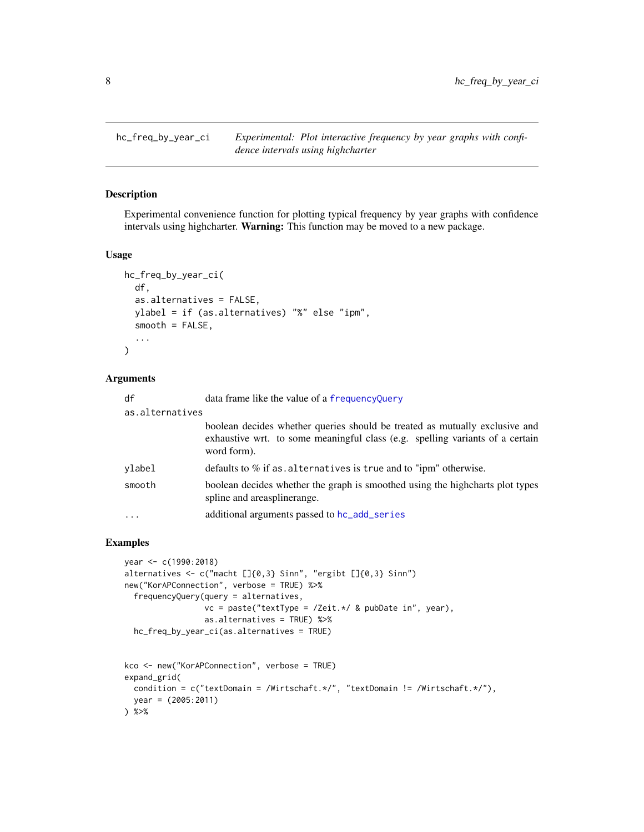<span id="page-7-0"></span>hc\_freq\_by\_year\_ci *Experimental: Plot interactive frequency by year graphs with confidence intervals using highcharter*

#### Description

Experimental convenience function for plotting typical frequency by year graphs with confidence intervals using highcharter. Warning: This function may be moved to a new package.

#### Usage

```
hc_freq_by_year_ci(
  df,
  as.alternatives = FALSE,
  ylabel = if (as.alternatives) "%" else "ipm",
  smooth = FALSE,
  ...
)
```
#### Arguments

| df              | data frame like the value of a frequency Query                                                                                                                              |
|-----------------|-----------------------------------------------------------------------------------------------------------------------------------------------------------------------------|
| as.alternatives |                                                                                                                                                                             |
|                 | boolean decides whether queries should be treated as mutually exclusive and<br>exhaustive wrt. to some meaningful class (e.g. spelling variants of a certain<br>word form). |
| ylabel          | defaults to $%$ if as alternatives is true and to "ipm" otherwise.                                                                                                          |
| smooth          | boolean decides whether the graph is smoothed using the highcharts plot types<br>spline and areaspline range.                                                               |
| $\cdots$        | additional arguments passed to hc_add_series                                                                                                                                |

```
year <- c(1990:2018)
alternatives <- c("macht []{0,3} Sinn", "ergibt []{0,3} Sinn")
new("KorAPConnection", verbose = TRUE) %>%
  frequencyQuery(query = alternatives,
                 vc = paste("textType = /Zeit.*/ & pubDate in", year),
                 as.alternatives = TRUE) %>%
  hc_freq_by_year_ci(as.alternatives = TRUE)
kco <- new("KorAPConnection", verbose = TRUE)
expand_grid(
  condition = c("textDomain = /Wirtschaft.*/", "textDomain != /Wirtschaft.*/"),year = (2005:2011)
) %>%
```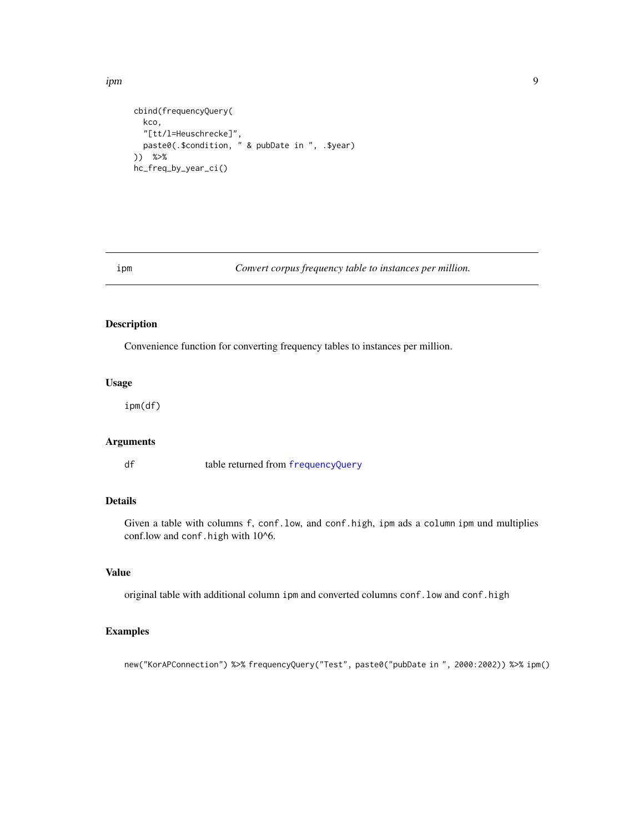<span id="page-8-0"></span>ipm 300 and 200 and 200 and 200 and 200 and 200 and 200 and 200 and 200 and 200 and 200 and 200 and 200 and 20

```
cbind(frequencyQuery(
  kco,
  "[tt/l=Heuschrecke]",
  paste0(.$condition, " & pubDate in ", .$year)
)) %>%
hc_freq_by_year_ci()
```
ipm *Convert corpus frequency table to instances per million.*

# Description

Convenience function for converting frequency tables to instances per million.

# Usage

ipm(df)

# Arguments

df table returned from [frequencyQuery](#page-11-1)

#### Details

Given a table with columns f, conf.low, and conf.high, ipm ads a column ipm und multiplies conf.low and conf.high with 10^6.

# Value

original table with additional column ipm and converted columns conf.low and conf.high

#### Examples

new("KorAPConnection") %>% frequencyQuery("Test", paste0("pubDate in ", 2000:2002)) %>% ipm()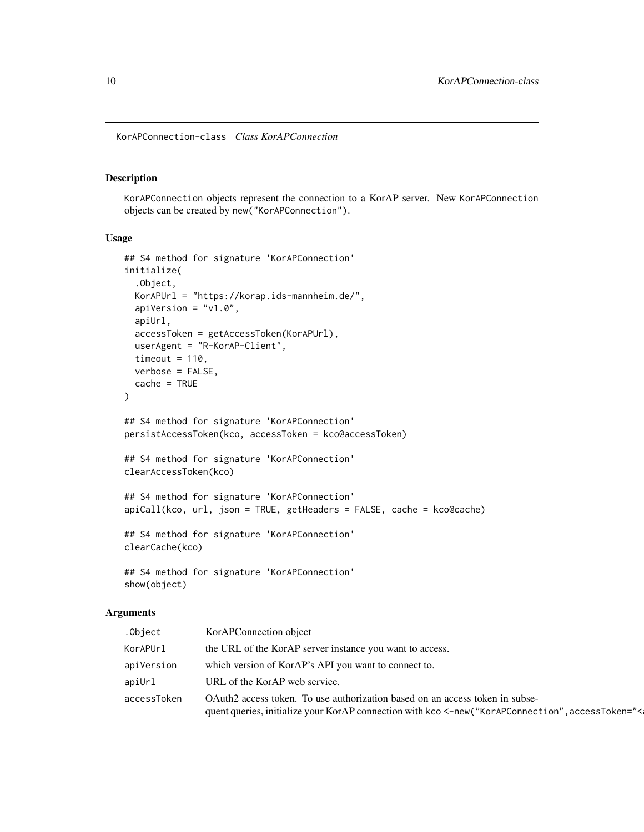<span id="page-9-0"></span>KorAPConnection-class *Class KorAPConnection*

# <span id="page-9-1"></span>Description

KorAPConnection objects represent the connection to a KorAP server. New KorAPConnection objects can be created by new("KorAPConnection").

#### Usage

```
## S4 method for signature 'KorAPConnection'
initialize(
  .Object,
 KorAPUrl = "https://korap.ids-mannheim.de/",
 apiVersion = "v1.0",
 apiUrl,
 accessToken = getAccessToken(KorAPUrl),
 userAgent = "R-KorAP-Client",
 timeout = 110,
 verbose = FALSE,
 cache = TRUE)
## S4 method for signature 'KorAPConnection'
persistAccessToken(kco, accessToken = kco@accessToken)
## S4 method for signature 'KorAPConnection'
clearAccessToken(kco)
## S4 method for signature 'KorAPConnection'
apiCall(kco, url, json = TRUE, getHeaders = FALSE, cache = kco@cache)
## S4 method for signature 'KorAPConnection'
clearCache(kco)
## S4 method for signature 'KorAPConnection'
show(object)
```
#### Arguments

| .Object     | KorAPConnection object                                                                                                                                                           |
|-------------|----------------------------------------------------------------------------------------------------------------------------------------------------------------------------------|
| KorAPUrl    | the URL of the KorAP server instance you want to access.                                                                                                                         |
| apiVersion  | which version of KorAP's API you want to connect to.                                                                                                                             |
| apiUrl      | URL of the KorAP web service.                                                                                                                                                    |
| accessToken | OAuth2 access token. To use authorization based on an access token in subse-<br>quent queries, initialize your KorAP connection with kco <-new("KorAPConnection", accessToken="< |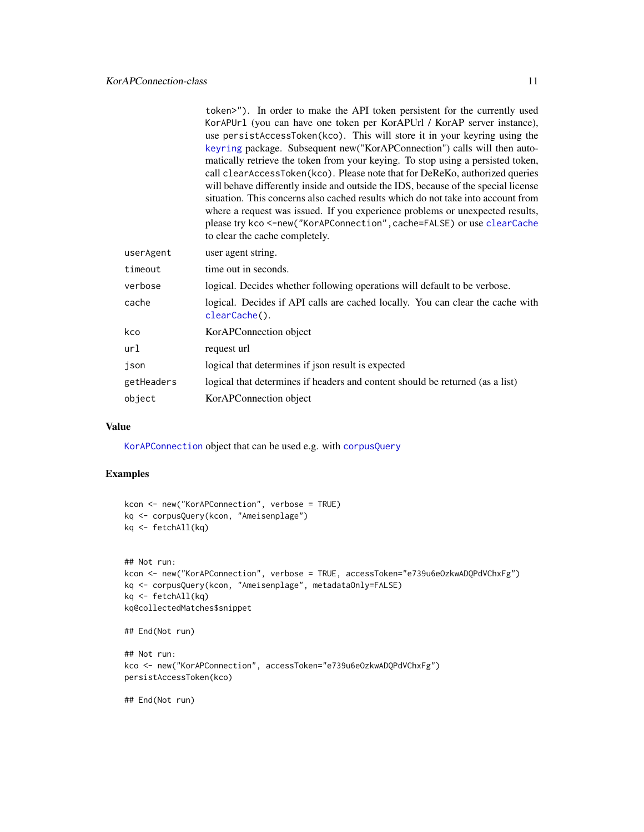<span id="page-10-0"></span>

|            | token>"). In order to make the API token persistent for the currently used<br>KorAPUr1 (you can have one token per KorAPUrl / KorAP server instance),<br>use persistAccessToken(kco). This will store it in your keyring using the<br>keyring package. Subsequent new("KorAPConnection") calls will then auto-<br>matically retrieve the token from your keying. To stop using a persisted token,<br>call clear Access Token (kco). Please note that for DeReKo, authorized queries<br>will behave differently inside and outside the IDS, because of the special license<br>situation. This concerns also cached results which do not take into account from<br>where a request was issued. If you experience problems or unexpected results,<br>please try kco <- new ("KorAPConnection", cache=FALSE) or use clearCache |
|------------|----------------------------------------------------------------------------------------------------------------------------------------------------------------------------------------------------------------------------------------------------------------------------------------------------------------------------------------------------------------------------------------------------------------------------------------------------------------------------------------------------------------------------------------------------------------------------------------------------------------------------------------------------------------------------------------------------------------------------------------------------------------------------------------------------------------------------|
|            | to clear the cache completely.                                                                                                                                                                                                                                                                                                                                                                                                                                                                                                                                                                                                                                                                                                                                                                                             |
| userAgent  | user agent string.                                                                                                                                                                                                                                                                                                                                                                                                                                                                                                                                                                                                                                                                                                                                                                                                         |
| timeout    | time out in seconds.                                                                                                                                                                                                                                                                                                                                                                                                                                                                                                                                                                                                                                                                                                                                                                                                       |
| verbose    | logical. Decides whether following operations will default to be verbose.                                                                                                                                                                                                                                                                                                                                                                                                                                                                                                                                                                                                                                                                                                                                                  |
| cache      | logical. Decides if API calls are cached locally. You can clear the cache with<br>clearCache().                                                                                                                                                                                                                                                                                                                                                                                                                                                                                                                                                                                                                                                                                                                            |
| kco        | KorAPConnection object                                                                                                                                                                                                                                                                                                                                                                                                                                                                                                                                                                                                                                                                                                                                                                                                     |
| url        | request url                                                                                                                                                                                                                                                                                                                                                                                                                                                                                                                                                                                                                                                                                                                                                                                                                |
| json       | logical that determines if json result is expected                                                                                                                                                                                                                                                                                                                                                                                                                                                                                                                                                                                                                                                                                                                                                                         |
| getHeaders | logical that determines if headers and content should be returned (as a list)                                                                                                                                                                                                                                                                                                                                                                                                                                                                                                                                                                                                                                                                                                                                              |
| object     | KorAPConnection object                                                                                                                                                                                                                                                                                                                                                                                                                                                                                                                                                                                                                                                                                                                                                                                                     |
|            |                                                                                                                                                                                                                                                                                                                                                                                                                                                                                                                                                                                                                                                                                                                                                                                                                            |

#### Value

[KorAPConnection](#page-9-1) object that can be used e.g. with [corpusQuery](#page-2-1)

```
kcon <- new("KorAPConnection", verbose = TRUE)
kq <- corpusQuery(kcon, "Ameisenplage")
kq <- fetchAll(kq)
## Not run:
kcon <- new("KorAPConnection", verbose = TRUE, accessToken="e739u6eOzkwADQPdVChxFg")
kq <- corpusQuery(kcon, "Ameisenplage", metadataOnly=FALSE)
kq <- fetchAll(kq)
kq@collectedMatches$snippet
## End(Not run)
## Not run:
kco <- new("KorAPConnection", accessToken="e739u6eOzkwADQPdVChxFg")
persistAccessToken(kco)
## End(Not run)
```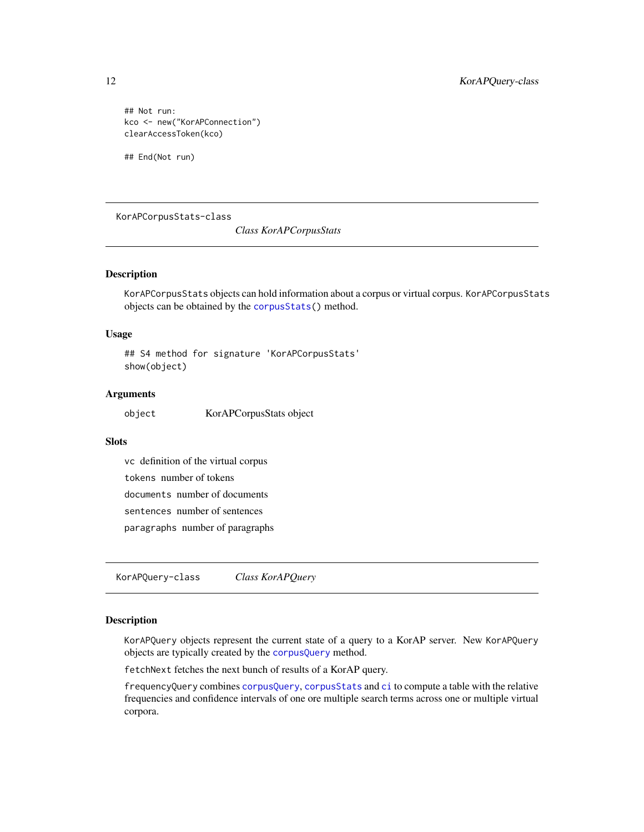## Not run: kco <- new("KorAPConnection") clearAccessToken(kco)

## End(Not run)

KorAPCorpusStats-class

*Class KorAPCorpusStats*

#### Description

KorAPCorpusStats objects can hold information about a corpus or virtual corpus. KorAPCorpusStats objects can be obtained by the [corpusStats\(](#page-4-1)) method.

#### Usage

## S4 method for signature 'KorAPCorpusStats' show(object)

#### **Arguments**

object KorAPCorpusStats object

#### **Slots**

vc definition of the virtual corpus

tokens number of tokens

documents number of documents

sentences number of sentences

paragraphs number of paragraphs

KorAPQuery-class *Class KorAPQuery*

#### <span id="page-11-1"></span>Description

KorAPQuery objects represent the current state of a query to a KorAP server. New KorAPQuery objects are typically created by the [corpusQuery](#page-2-1) method.

fetchNext fetches the next bunch of results of a KorAP query.

frequencyQuery combines [corpusQuery](#page-2-1), [corpusStats](#page-4-1) and [ci](#page-1-1) to compute a table with the relative frequencies and confidence intervals of one ore multiple search terms across one or multiple virtual corpora.

<span id="page-11-0"></span>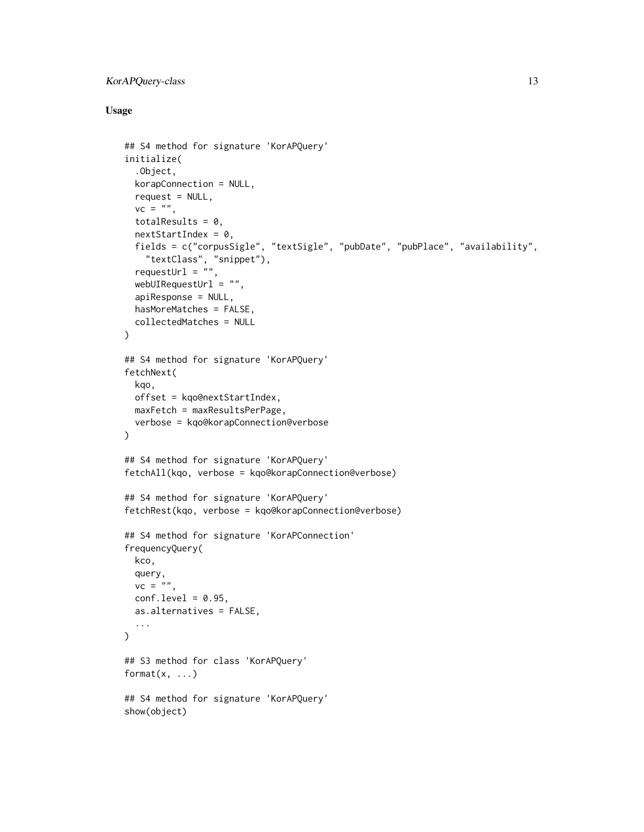# KorAPQuery-class 13

# Usage

```
## S4 method for signature 'KorAPQuery'
initialize(
  .Object,
 korapConnection = NULL,
  request = NULL,vc = "totalResults = 0,
  nextStartIndex = 0,
  fields = c("corpusSigle", "textSigle", "pubDate", "pubPlace", "availability",
    "textClass", "snippet"),
  requestUrl = ",
  webUIRequestUrl = "",
  apiResponse = NULL,
  hasMoreMatches = FALSE,
  collectedMatches = NULL
\mathcal{L}## S4 method for signature 'KorAPQuery'
fetchNext(
 kqo,
 offset = kqo@nextStartIndex,
 maxFetch = maxResultsPerPage,
  verbose = kqo@korapConnection@verbose
)
## S4 method for signature 'KorAPQuery'
fetchAll(kqo, verbose = kqo@korapConnection@verbose)
## S4 method for signature 'KorAPQuery'
fetchRest(kqo, verbose = kqo@korapConnection@verbose)
## S4 method for signature 'KorAPConnection'
frequencyQuery(
 kco,
 query,
 vc = "",conf. level = 0.95,
  as.alternatives = FALSE,
  ...
\mathcal{L}## S3 method for class 'KorAPQuery'
format(x, \ldots)## S4 method for signature 'KorAPQuery'
show(object)
```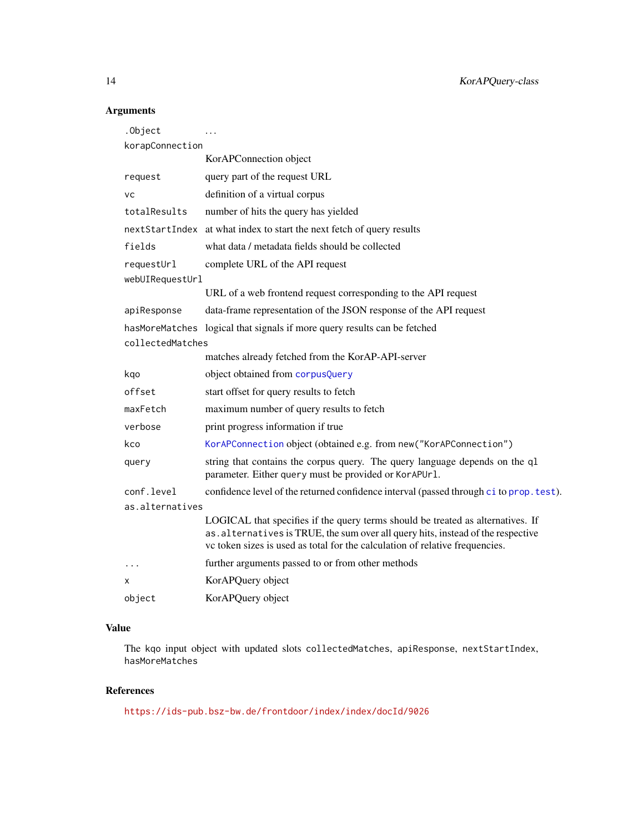# Arguments

| .Object          |                                                                                                                                                                                                                                                     |  |
|------------------|-----------------------------------------------------------------------------------------------------------------------------------------------------------------------------------------------------------------------------------------------------|--|
| korapConnection  |                                                                                                                                                                                                                                                     |  |
|                  | KorAPConnection object                                                                                                                                                                                                                              |  |
| request          | query part of the request URL                                                                                                                                                                                                                       |  |
| <b>VC</b>        | definition of a virtual corpus                                                                                                                                                                                                                      |  |
| totalResults     | number of hits the query has yielded                                                                                                                                                                                                                |  |
|                  | next Start Index at what index to start the next fetch of query results                                                                                                                                                                             |  |
| fields           | what data / metadata fields should be collected                                                                                                                                                                                                     |  |
| requestUrl       | complete URL of the API request                                                                                                                                                                                                                     |  |
| webUIRequestUrl  |                                                                                                                                                                                                                                                     |  |
|                  | URL of a web frontend request corresponding to the API request                                                                                                                                                                                      |  |
| apiResponse      | data-frame representation of the JSON response of the API request                                                                                                                                                                                   |  |
| hasMoreMatches   | logical that signals if more query results can be fetched                                                                                                                                                                                           |  |
| collectedMatches |                                                                                                                                                                                                                                                     |  |
|                  | matches already fetched from the KorAP-API-server                                                                                                                                                                                                   |  |
| kqo              | object obtained from corpusQuery                                                                                                                                                                                                                    |  |
| offset           | start offset for query results to fetch                                                                                                                                                                                                             |  |
| maxFetch         | maximum number of query results to fetch                                                                                                                                                                                                            |  |
| verbose          | print progress information if true                                                                                                                                                                                                                  |  |
| kco              | KorAPConnection object (obtained e.g. from new ("KorAPConnection")                                                                                                                                                                                  |  |
| query            | string that contains the corpus query. The query language depends on the ql<br>parameter. Either query must be provided or KorAPUr1.                                                                                                                |  |
| conf.level       | confidence level of the returned confidence interval (passed through ci to prop. test).                                                                                                                                                             |  |
| as.alternatives  |                                                                                                                                                                                                                                                     |  |
|                  | LOGICAL that specifies if the query terms should be treated as alternatives. If<br>as. alternatives is TRUE, the sum over all query hits, instead of the respective<br>vc token sizes is used as total for the calculation of relative frequencies. |  |
| .                | further arguments passed to or from other methods                                                                                                                                                                                                   |  |
| х                | KorAPQuery object                                                                                                                                                                                                                                   |  |
| object           | KorAPQuery object                                                                                                                                                                                                                                   |  |

# Value

The kqo input object with updated slots collectedMatches, apiResponse, nextStartIndex, hasMoreMatches

# References

<https://ids-pub.bsz-bw.de/frontdoor/index/index/docId/9026>

<span id="page-13-0"></span>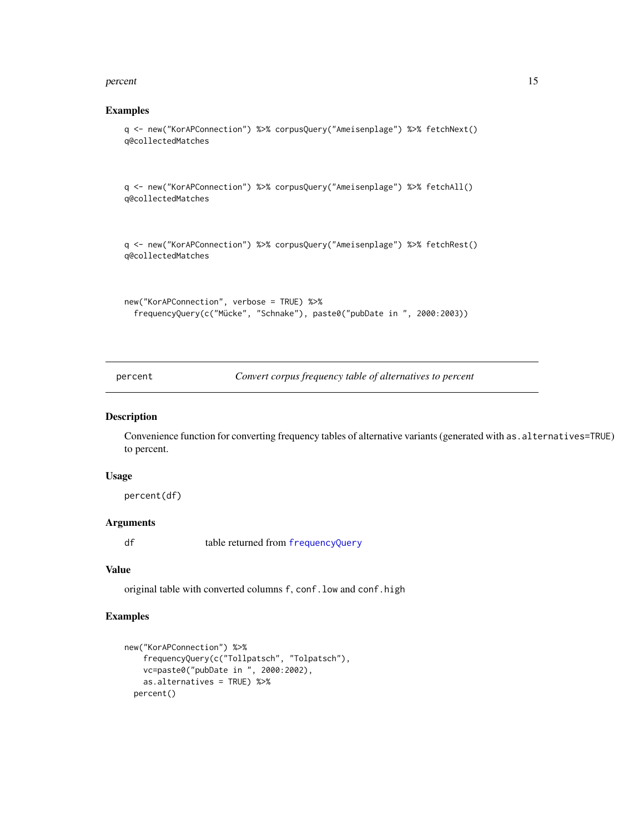#### <span id="page-14-0"></span>percent and the set of the set of the set of the set of the set of the set of the set of the set of the set of the set of the set of the set of the set of the set of the set of the set of the set of the set of the set of t

#### Examples

```
q <- new("KorAPConnection") %>% corpusQuery("Ameisenplage") %>% fetchNext()
q@collectedMatches
```
q <- new("KorAPConnection") %>% corpusQuery("Ameisenplage") %>% fetchAll() q@collectedMatches

q <- new("KorAPConnection") %>% corpusQuery("Ameisenplage") %>% fetchRest() q@collectedMatches

```
new("KorAPConnection", verbose = TRUE) %>%
 frequencyQuery(c("Mücke", "Schnake"), paste0("pubDate in ", 2000:2003))
```
percent *Convert corpus frequency table of alternatives to percent*

### Description

Convenience function for converting frequency tables of alternative variants (generated with as.alternatives=TRUE) to percent.

#### Usage

percent(df)

#### Arguments

df table returned from [frequencyQuery](#page-11-1)

#### Value

original table with converted columns f, conf.low and conf.high

```
new("KorAPConnection") %>%
    frequencyQuery(c("Tollpatsch", "Tolpatsch"),
   vc=paste0("pubDate in ", 2000:2002),
    as.alternatives = TRUE) %>%
 percent()
```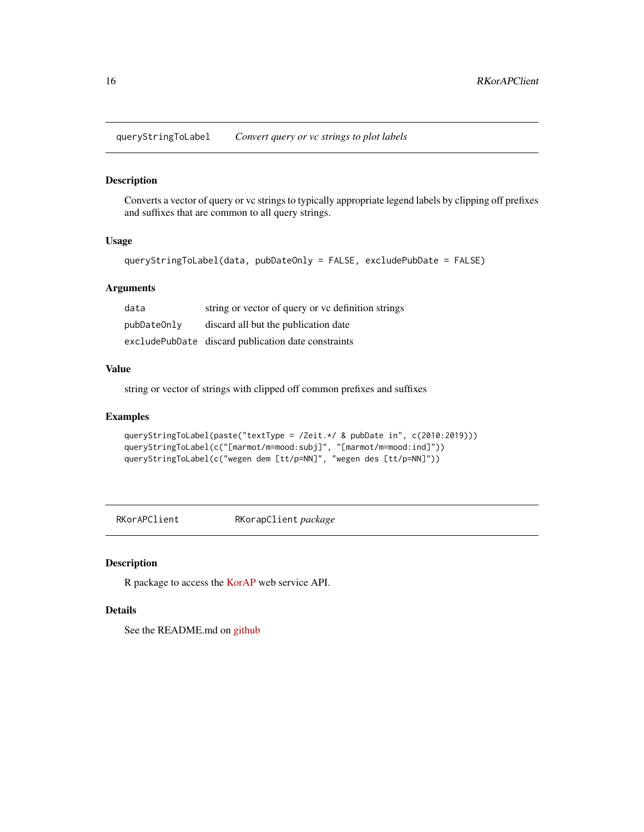<span id="page-15-0"></span>queryStringToLabel *Convert query or vc strings to plot labels*

#### Description

Converts a vector of query or vc strings to typically appropriate legend labels by clipping off prefixes and suffixes that are common to all query strings.

#### Usage

```
queryStringToLabel(data, pubDateOnly = FALSE, excludePubDate = FALSE)
```
#### Arguments

| data        | string or vector of query or vc definition strings  |
|-------------|-----------------------------------------------------|
| pubDateOnly | discard all but the publication date                |
|             | excludePubDate discard publication date constraints |

#### Value

string or vector of strings with clipped off common prefixes and suffixes

#### Examples

```
queryStringToLabel(paste("textType = /Zeit.*/ & pubDate in", c(2010:2019)))
queryStringToLabel(c("[marmot/m=mood:subj]", "[marmot/m=mood:ind]"))
queryStringToLabel(c("wegen dem [tt/p=NN]", "wegen des [tt/p=NN]"))
```
RKorAPClient RKorapClient *package*

# Description

R package to access the [KorAP](https://github.com/KorAP/) web service API.

#### Details

See the README.md on [github](https://github.com/KorAP/RKorAPClient/)